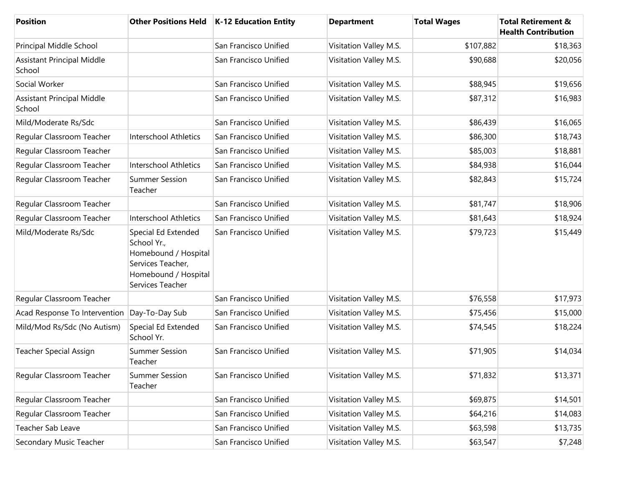| Position                                       |                                                                                                                             | Other Positions Held   K-12 Education Entity | <b>Department</b>      | <b>Total Wages</b> | <b>Total Retirement &amp;</b><br><b>Health Contribution</b> |
|------------------------------------------------|-----------------------------------------------------------------------------------------------------------------------------|----------------------------------------------|------------------------|--------------------|-------------------------------------------------------------|
| Principal Middle School                        |                                                                                                                             | San Francisco Unified                        | Visitation Valley M.S. | \$107,882          | \$18,363                                                    |
| <b>Assistant Principal Middle</b><br>School    |                                                                                                                             | San Francisco Unified                        | Visitation Valley M.S. | \$90,688           | \$20,056                                                    |
| Social Worker                                  |                                                                                                                             | San Francisco Unified                        | Visitation Valley M.S. | \$88,945           | \$19,656                                                    |
| <b>Assistant Principal Middle</b><br>School    |                                                                                                                             | San Francisco Unified                        | Visitation Valley M.S. | \$87,312           | \$16,983                                                    |
| Mild/Moderate Rs/Sdc                           |                                                                                                                             | San Francisco Unified                        | Visitation Valley M.S. | \$86,439           | \$16,065                                                    |
| Regular Classroom Teacher                      | <b>Interschool Athletics</b>                                                                                                | San Francisco Unified                        | Visitation Valley M.S. | \$86,300           | \$18,743                                                    |
| Regular Classroom Teacher                      |                                                                                                                             | San Francisco Unified                        | Visitation Valley M.S. | \$85,003           | \$18,881                                                    |
| Regular Classroom Teacher                      | Interschool Athletics                                                                                                       | San Francisco Unified                        | Visitation Valley M.S. | \$84,938           | \$16,044                                                    |
| Regular Classroom Teacher                      | <b>Summer Session</b><br>Teacher                                                                                            | San Francisco Unified                        | Visitation Valley M.S. | \$82,843           | \$15,724                                                    |
| Regular Classroom Teacher                      |                                                                                                                             | San Francisco Unified                        | Visitation Valley M.S. | \$81,747           | \$18,906                                                    |
| Regular Classroom Teacher                      | <b>Interschool Athletics</b>                                                                                                | San Francisco Unified                        | Visitation Valley M.S. | \$81,643           | \$18,924                                                    |
| Mild/Moderate Rs/Sdc                           | Special Ed Extended<br>School Yr.,<br>Homebound / Hospital<br>Services Teacher,<br>Homebound / Hospital<br>Services Teacher | San Francisco Unified                        | Visitation Valley M.S. | \$79,723           | \$15,449                                                    |
| Regular Classroom Teacher                      |                                                                                                                             | San Francisco Unified                        | Visitation Valley M.S. | \$76,558           | \$17,973                                                    |
| Acad Response To Intervention   Day-To-Day Sub |                                                                                                                             | San Francisco Unified                        | Visitation Valley M.S. | \$75,456           | \$15,000                                                    |
| Mild/Mod Rs/Sdc (No Autism)                    | Special Ed Extended<br>School Yr.                                                                                           | San Francisco Unified                        | Visitation Valley M.S. | \$74,545           | \$18,224                                                    |
| <b>Teacher Special Assign</b>                  | <b>Summer Session</b><br>Teacher                                                                                            | San Francisco Unified                        | Visitation Valley M.S. | \$71,905           | \$14,034                                                    |
| Regular Classroom Teacher                      | <b>Summer Session</b><br>Teacher                                                                                            | San Francisco Unified                        | Visitation Valley M.S. | \$71,832           | \$13,371                                                    |
| Regular Classroom Teacher                      |                                                                                                                             | San Francisco Unified                        | Visitation Valley M.S. | \$69,875           | \$14,501                                                    |
| Regular Classroom Teacher                      |                                                                                                                             | San Francisco Unified                        | Visitation Valley M.S. | \$64,216           | \$14,083                                                    |
| Teacher Sab Leave                              |                                                                                                                             | San Francisco Unified                        | Visitation Valley M.S. | \$63,598           | \$13,735                                                    |
| Secondary Music Teacher                        |                                                                                                                             | San Francisco Unified                        | Visitation Valley M.S. | \$63,547           | \$7,248                                                     |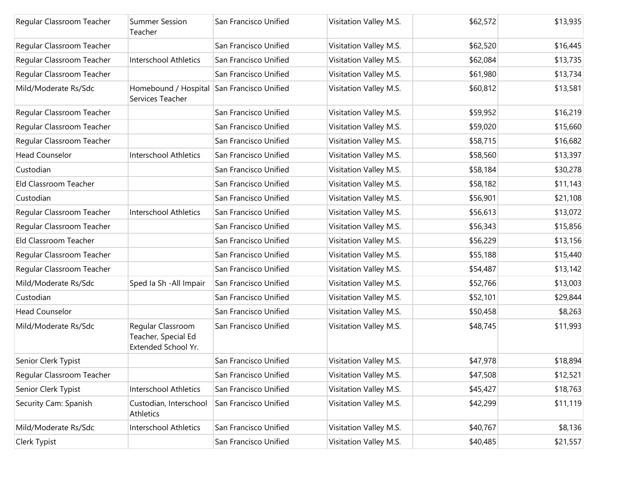| Regular Classroom Teacher | <b>Summer Session</b><br>Teacher                                | San Francisco Unified | Visitation Valley M.S. | \$62,572 | \$13,935 |
|---------------------------|-----------------------------------------------------------------|-----------------------|------------------------|----------|----------|
| Regular Classroom Teacher |                                                                 | San Francisco Unified | Visitation Valley M.S. | \$62,520 | \$16,445 |
| Regular Classroom Teacher | <b>Interschool Athletics</b>                                    | San Francisco Unified | Visitation Valley M.S. | \$62,084 | \$13,735 |
| Regular Classroom Teacher |                                                                 | San Francisco Unified | Visitation Valley M.S. | \$61,980 | \$13,734 |
| Mild/Moderate Rs/Sdc      | Homebound / Hospital<br>Services Teacher                        | San Francisco Unified | Visitation Valley M.S. | \$60,812 | \$13,581 |
| Regular Classroom Teacher |                                                                 | San Francisco Unified | Visitation Valley M.S. | \$59,952 | \$16,219 |
| Regular Classroom Teacher |                                                                 | San Francisco Unified | Visitation Valley M.S. | \$59,020 | \$15,660 |
| Regular Classroom Teacher |                                                                 | San Francisco Unified | Visitation Valley M.S. | \$58,715 | \$16,682 |
| <b>Head Counselor</b>     | <b>Interschool Athletics</b>                                    | San Francisco Unified | Visitation Valley M.S. | \$58,560 | \$13,397 |
| Custodian                 |                                                                 | San Francisco Unified | Visitation Valley M.S. | \$58,184 | \$30,278 |
| Eld Classroom Teacher     |                                                                 | San Francisco Unified | Visitation Valley M.S. | \$58,182 | \$11,143 |
| Custodian                 |                                                                 | San Francisco Unified | Visitation Valley M.S. | \$56,901 | \$21,108 |
| Regular Classroom Teacher | <b>Interschool Athletics</b>                                    | San Francisco Unified | Visitation Valley M.S. | \$56,613 | \$13,072 |
| Regular Classroom Teacher |                                                                 | San Francisco Unified | Visitation Valley M.S. | \$56,343 | \$15,856 |
| Eld Classroom Teacher     |                                                                 | San Francisco Unified | Visitation Valley M.S. | \$56,229 | \$13,156 |
| Regular Classroom Teacher |                                                                 | San Francisco Unified | Visitation Valley M.S. | \$55,188 | \$15,440 |
| Regular Classroom Teacher |                                                                 | San Francisco Unified | Visitation Valley M.S. | \$54,487 | \$13,142 |
| Mild/Moderate Rs/Sdc      | Sped Ia Sh - All Impair                                         | San Francisco Unified | Visitation Valley M.S. | \$52,766 | \$13,003 |
| Custodian                 |                                                                 | San Francisco Unified | Visitation Valley M.S. | \$52,101 | \$29,844 |
| <b>Head Counselor</b>     |                                                                 | San Francisco Unified | Visitation Valley M.S. | \$50,458 | \$8,263  |
| Mild/Moderate Rs/Sdc      | Regular Classroom<br>Teacher, Special Ed<br>Extended School Yr. | San Francisco Unified | Visitation Valley M.S. | \$48,745 | \$11,993 |
| Senior Clerk Typist       |                                                                 | San Francisco Unified | Visitation Valley M.S. | \$47,978 | \$18,894 |
| Regular Classroom Teacher |                                                                 | San Francisco Unified | Visitation Valley M.S. | \$47,508 | \$12,521 |
| Senior Clerk Typist       | <b>Interschool Athletics</b>                                    | San Francisco Unified | Visitation Valley M.S. | \$45,427 | \$18,763 |
| Security Cam: Spanish     | Custodian, Interschool<br>Athletics                             | San Francisco Unified | Visitation Valley M.S. | \$42,299 | \$11,119 |
| Mild/Moderate Rs/Sdc      | Interschool Athletics                                           | San Francisco Unified | Visitation Valley M.S. | \$40,767 | \$8,136  |
| Clerk Typist              |                                                                 | San Francisco Unified | Visitation Valley M.S. | \$40,485 | \$21,557 |